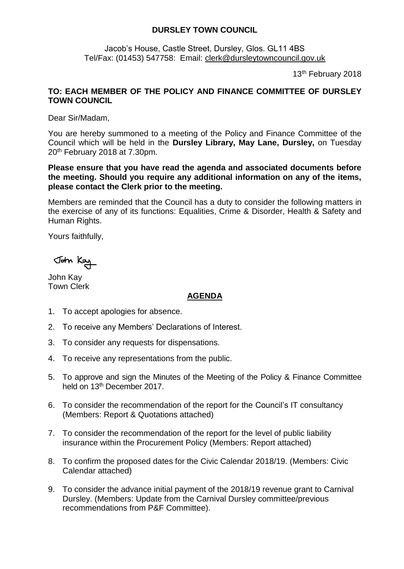## **DURSLEY TOWN COUNCIL**

Jacob's House, Castle Street, Dursley, Glos. GL11 4BS Tel/Fax: (01453) 547758: Email: [clerk@dursleytowncouncil.gov.uk](mailto:clerk@dursleytowncouncil.gov.uk)

13th February 2018

## **TO: EACH MEMBER OF THE POLICY AND FINANCE COMMITTEE OF DURSLEY TOWN COUNCIL**

Dear Sir/Madam,

You are hereby summoned to a meeting of the Policy and Finance Committee of the Council which will be held in the **Dursley Library, May Lane, Dursley,** on Tuesday 20th February 2018 at 7.30pm.

**Please ensure that you have read the agenda and associated documents before the meeting. Should you require any additional information on any of the items, please contact the Clerk prior to the meeting.** 

Members are reminded that the Council has a duty to consider the following matters in the exercise of any of its functions: Equalities, Crime & Disorder, Health & Safety and Human Rights.

Yours faithfully,

John Kay

John Kay Town Clerk

## **AGENDA**

- 1. To accept apologies for absence.
- 2. To receive any Members' Declarations of Interest.
- 3. To consider any requests for dispensations.
- 4. To receive any representations from the public.
- 5. To approve and sign the Minutes of the Meeting of the Policy & Finance Committee held on 13<sup>th</sup> December 2017.
- 6. To consider the recommendation of the report for the Council's IT consultancy (Members: Report & Quotations attached)
- 7. To consider the recommendation of the report for the level of public liability insurance within the Procurement Policy (Members: Report attached)
- 8. To confirm the proposed dates for the Civic Calendar 2018/19. (Members: Civic Calendar attached)
- 9. To consider the advance initial payment of the 2018/19 revenue grant to Carnival Dursley. (Members: Update from the Carnival Dursley committee/previous recommendations from P&F Committee).